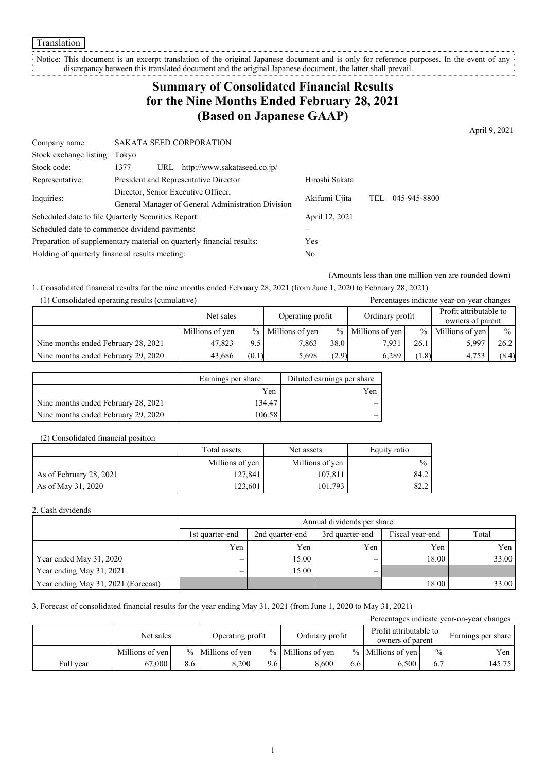Notice: This document is an excerpt translation of the original Japanese document and is only for reference purposes. In the event of any discrepancy between this translated document and the original Japanese document, the latter shall prevail.

## **Summary of Consolidated Financial Results for the Nine Months Ended February 28, 2021 (Based on Japanese GAAP)**

April 9, 2021

| Company name:                                                         | <b>SAKATA SEED CORPORATION</b>              |                |            |              |  |
|-----------------------------------------------------------------------|---------------------------------------------|----------------|------------|--------------|--|
| Stock exchange listing: Tokyo                                         |                                             |                |            |              |  |
| Stock code:                                                           | http://www.sakataseed.co.jp/<br>1377<br>URL |                |            |              |  |
| Representative:                                                       | President and Representative Director       | Hiroshi Sakata |            |              |  |
| Director, Senior Executive Officer,<br>Inquiries:                     |                                             | Akifumi Ujita  | <b>TEL</b> | 045-945-8800 |  |
|                                                                       |                                             |                |            |              |  |
| Scheduled date to file Quarterly Securities Report:                   |                                             | April 12, 2021 |            |              |  |
| Scheduled date to commence dividend payments:                         |                                             |                |            |              |  |
| Preparation of supplementary material on quarterly financial results: | Yes                                         |                |            |              |  |
| Holding of quarterly financial results meeting:                       |                                             | No             |            |              |  |

(Amounts less than one million yen are rounded down)

1. Consolidated financial results for the nine months ended February 28, 2021 (from June 1, 2020 to February 28, 2021)

| (1) Consolidated operating results (cumulative) |  |  |
|-------------------------------------------------|--|--|
|-------------------------------------------------|--|--|

| (1) Consolidated operating results (cumulative) |                 |       |                     |       |                     |       | Percentages indicate year-on-year changes  |               |
|-------------------------------------------------|-----------------|-------|---------------------|-------|---------------------|-------|--------------------------------------------|---------------|
|                                                 | Net sales       |       | Operating profit    |       | Ordinary profit     |       | Profit attributable to<br>owners of parent |               |
|                                                 | Millions of yen |       | $%$ Millions of yen |       | $%$ Millions of yen | $\%$  | Millions of yen                            | $\frac{0}{0}$ |
| Nine months ended February 28, 2021             | 47.823          | 9.5   | 7,863               | 38.0  | 7.931               | 26.1  | 5,997                                      | 26.2          |
| Nine months ended February 29, 2020             | 43.686          | (0.1) | 5.698               | (2.9) | 6.289               | (1.8) | 4.753                                      | (8.4)         |

|                                     | Earnings per share | Diluted earnings per share |
|-------------------------------------|--------------------|----------------------------|
|                                     | Yen                | Yen                        |
| Nine months ended February 28, 2021 | 134.47             | –                          |
| Nine months ended February 29, 2020 | 106.58             |                            |

#### (2) Consolidated financial position

|                         | Total assets    | Net assets      | Equity ratio  |
|-------------------------|-----------------|-----------------|---------------|
|                         | Millions of yen | Millions of yen | $\frac{0}{0}$ |
| As of February 28, 2021 | 127,841         | 107,811         | 84.2          |
| As of May 31, 2020      | 123,601         | 101,793         | 82.2          |

#### 2. Cash dividends

|                                     |                 | Annual dividends per share                                     |     |       |       |  |  |  |  |
|-------------------------------------|-----------------|----------------------------------------------------------------|-----|-------|-------|--|--|--|--|
|                                     | 1st quarter-end | Total<br>Fiscal year-end<br>3rd quarter-end<br>2nd quarter-end |     |       |       |  |  |  |  |
|                                     | Yen             | Yen                                                            | Yen | Yen   | Yen   |  |  |  |  |
| Year ended May 31, 2020             | –               | 15.00                                                          | –   | 18.00 | 33.00 |  |  |  |  |
| Year ending May 31, 2021            | –               | 15.00                                                          | –   |       |       |  |  |  |  |
| Year ending May 31, 2021 (Forecast) |                 |                                                                |     | 18.00 | 33.00 |  |  |  |  |

#### 3. Forecast of consolidated financial results for the year ending May 31, 2021 (from June 1, 2020 to May 31, 2021)

| Percentages indicate year-on-year changes |                 |     |                                     |     |                                            |     |                     |               |        |
|-------------------------------------------|-----------------|-----|-------------------------------------|-----|--------------------------------------------|-----|---------------------|---------------|--------|
|                                           | Net sales       |     | Ordinary profit<br>Operating profit |     | Profit attributable to<br>owners of parent |     | Earnings per share  |               |        |
|                                           | Millions of yen |     | $%$ Millions of yen                 |     | $%$ Millions of yen                        |     | $%$ Millions of yen | $\frac{0}{0}$ | Yen l  |
| Full year                                 | 67.000          | 8.6 | 8.200                               | 9.6 | 8.600                                      | 6.6 | 6.500               | 6.7           | 145.75 |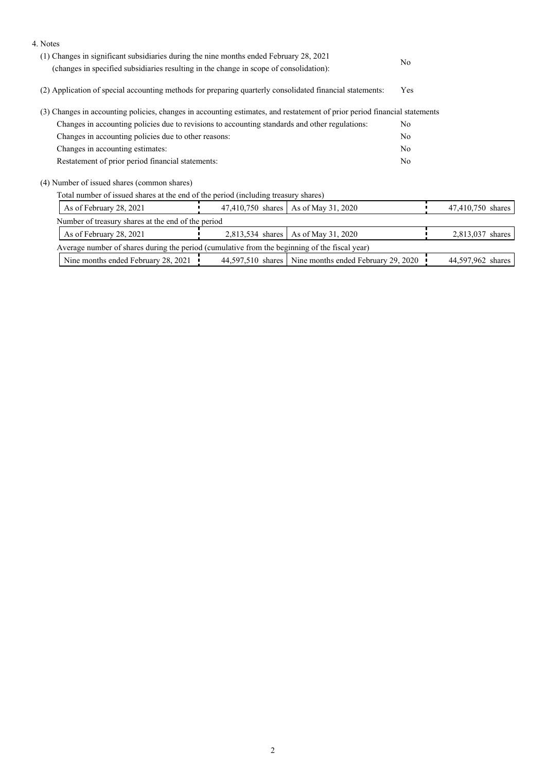| 4. Notes                                                                                                                                                                         |                   |                                                         |                |                   |
|----------------------------------------------------------------------------------------------------------------------------------------------------------------------------------|-------------------|---------------------------------------------------------|----------------|-------------------|
| (1) Changes in significant subsidiaries during the nine months ended February 28, 2021<br>(changes in specified subsidiaries resulting in the change in scope of consolidation): |                   |                                                         | No             |                   |
| (2) Application of special accounting methods for preparing quarterly consolidated financial statements:                                                                         |                   |                                                         | Yes            |                   |
| (3) Changes in accounting policies, changes in accounting estimates, and restatement of prior period financial statements                                                        |                   |                                                         |                |                   |
| Changes in accounting policies due to revisions to accounting standards and other regulations:                                                                                   |                   |                                                         | N <sub>o</sub> |                   |
| Changes in accounting policies due to other reasons:                                                                                                                             |                   |                                                         | N <sub>o</sub> |                   |
| Changes in accounting estimates:                                                                                                                                                 |                   |                                                         | N <sub>o</sub> |                   |
| Restatement of prior period financial statements:                                                                                                                                |                   |                                                         | No             |                   |
| (4) Number of issued shares (common shares)                                                                                                                                      |                   |                                                         |                |                   |
| Total number of issued shares at the end of the period (including treasury shares)                                                                                               |                   |                                                         |                |                   |
| As of February 28, 2021                                                                                                                                                          | 47,410,750 shares | As of May 31, 2020                                      |                | 47,410,750 shares |
| Number of treasury shares at the end of the period                                                                                                                               |                   |                                                         |                |                   |
| As of February 28, 2021                                                                                                                                                          | 2,813,534 shares  | As of May 31, 2020                                      |                | 2,813,037 shares  |
| Average number of shares during the period (cumulative from the beginning of the fiscal year)                                                                                    |                   |                                                         |                |                   |
| Nine months ended February 28, 2021                                                                                                                                              |                   | 44,597,510 shares   Nine months ended February 29, 2020 |                | 44,597,962 shares |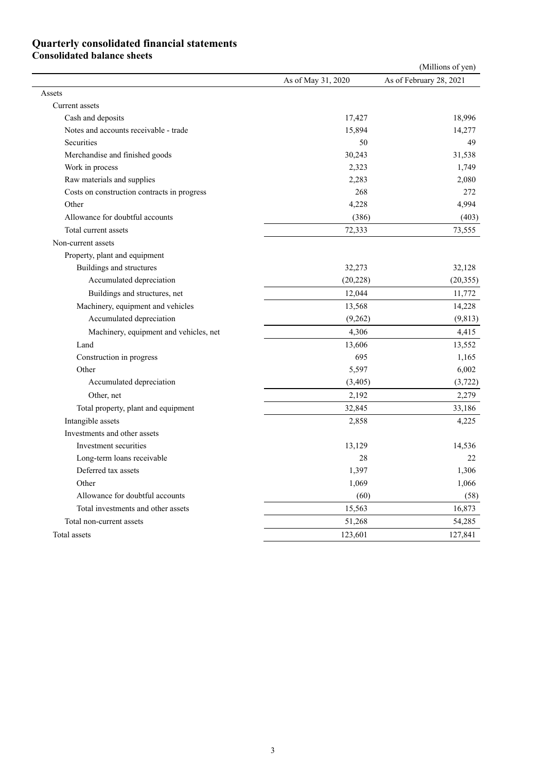### **Quarterly consolidated financial statements Consolidated balance sheets**

| As of February 28, 2021<br>As of May 31, 2020<br>Assets<br>Current assets<br>18,996<br>Cash and deposits<br>17,427<br>Notes and accounts receivable - trade<br>15,894<br>14,277<br><b>Securities</b><br>50<br>49<br>Merchandise and finished goods<br>30,243<br>31,538<br>Work in process<br>1,749<br>2,323<br>Raw materials and supplies<br>2,283<br>2,080<br>268<br>Costs on construction contracts in progress<br>272<br>Other<br>4,228<br>4,994<br>Allowance for doubtful accounts<br>(386)<br>(403)<br>Total current assets<br>72,333<br>73,555<br>Non-current assets<br>Property, plant and equipment<br>Buildings and structures<br>32,273<br>32,128<br>Accumulated depreciation<br>(20, 228)<br>(20, 355)<br>Buildings and structures, net<br>12,044<br>11,772<br>Machinery, equipment and vehicles<br>13,568<br>14,228<br>Accumulated depreciation<br>(9,262)<br>(9, 813)<br>Machinery, equipment and vehicles, net<br>4,306<br>4,415<br>13,606<br>13,552<br>Land<br>695<br>Construction in progress<br>1,165<br>Other<br>5,597<br>6,002<br>Accumulated depreciation<br>(3,405)<br>(3, 722)<br>2,192<br>Other, net<br>2,279<br>Total property, plant and equipment<br>32,845<br>33,186<br>Intangible assets<br>2,858<br>4,225<br>Investments and other assets<br>Investment securities<br>14,536<br>13,129<br>Long-term loans receivable<br>28<br>22<br>1,397<br>1,306<br>Deferred tax assets<br>1,066<br>Other<br>1,069<br>(60)<br>Allowance for doubtful accounts<br>(58)<br>15,563<br>16,873<br>Total investments and other assets<br>51,268<br>54,285<br>Total non-current assets<br>Total assets<br>123,601<br>127,841 |  | (Millions of yen) |
|--------------------------------------------------------------------------------------------------------------------------------------------------------------------------------------------------------------------------------------------------------------------------------------------------------------------------------------------------------------------------------------------------------------------------------------------------------------------------------------------------------------------------------------------------------------------------------------------------------------------------------------------------------------------------------------------------------------------------------------------------------------------------------------------------------------------------------------------------------------------------------------------------------------------------------------------------------------------------------------------------------------------------------------------------------------------------------------------------------------------------------------------------------------------------------------------------------------------------------------------------------------------------------------------------------------------------------------------------------------------------------------------------------------------------------------------------------------------------------------------------------------------------------------------------------------------------------------------------------------------------------------|--|-------------------|
|                                                                                                                                                                                                                                                                                                                                                                                                                                                                                                                                                                                                                                                                                                                                                                                                                                                                                                                                                                                                                                                                                                                                                                                                                                                                                                                                                                                                                                                                                                                                                                                                                                      |  |                   |
|                                                                                                                                                                                                                                                                                                                                                                                                                                                                                                                                                                                                                                                                                                                                                                                                                                                                                                                                                                                                                                                                                                                                                                                                                                                                                                                                                                                                                                                                                                                                                                                                                                      |  |                   |
|                                                                                                                                                                                                                                                                                                                                                                                                                                                                                                                                                                                                                                                                                                                                                                                                                                                                                                                                                                                                                                                                                                                                                                                                                                                                                                                                                                                                                                                                                                                                                                                                                                      |  |                   |
|                                                                                                                                                                                                                                                                                                                                                                                                                                                                                                                                                                                                                                                                                                                                                                                                                                                                                                                                                                                                                                                                                                                                                                                                                                                                                                                                                                                                                                                                                                                                                                                                                                      |  |                   |
|                                                                                                                                                                                                                                                                                                                                                                                                                                                                                                                                                                                                                                                                                                                                                                                                                                                                                                                                                                                                                                                                                                                                                                                                                                                                                                                                                                                                                                                                                                                                                                                                                                      |  |                   |
|                                                                                                                                                                                                                                                                                                                                                                                                                                                                                                                                                                                                                                                                                                                                                                                                                                                                                                                                                                                                                                                                                                                                                                                                                                                                                                                                                                                                                                                                                                                                                                                                                                      |  |                   |
|                                                                                                                                                                                                                                                                                                                                                                                                                                                                                                                                                                                                                                                                                                                                                                                                                                                                                                                                                                                                                                                                                                                                                                                                                                                                                                                                                                                                                                                                                                                                                                                                                                      |  |                   |
|                                                                                                                                                                                                                                                                                                                                                                                                                                                                                                                                                                                                                                                                                                                                                                                                                                                                                                                                                                                                                                                                                                                                                                                                                                                                                                                                                                                                                                                                                                                                                                                                                                      |  |                   |
|                                                                                                                                                                                                                                                                                                                                                                                                                                                                                                                                                                                                                                                                                                                                                                                                                                                                                                                                                                                                                                                                                                                                                                                                                                                                                                                                                                                                                                                                                                                                                                                                                                      |  |                   |
|                                                                                                                                                                                                                                                                                                                                                                                                                                                                                                                                                                                                                                                                                                                                                                                                                                                                                                                                                                                                                                                                                                                                                                                                                                                                                                                                                                                                                                                                                                                                                                                                                                      |  |                   |
|                                                                                                                                                                                                                                                                                                                                                                                                                                                                                                                                                                                                                                                                                                                                                                                                                                                                                                                                                                                                                                                                                                                                                                                                                                                                                                                                                                                                                                                                                                                                                                                                                                      |  |                   |
|                                                                                                                                                                                                                                                                                                                                                                                                                                                                                                                                                                                                                                                                                                                                                                                                                                                                                                                                                                                                                                                                                                                                                                                                                                                                                                                                                                                                                                                                                                                                                                                                                                      |  |                   |
|                                                                                                                                                                                                                                                                                                                                                                                                                                                                                                                                                                                                                                                                                                                                                                                                                                                                                                                                                                                                                                                                                                                                                                                                                                                                                                                                                                                                                                                                                                                                                                                                                                      |  |                   |
|                                                                                                                                                                                                                                                                                                                                                                                                                                                                                                                                                                                                                                                                                                                                                                                                                                                                                                                                                                                                                                                                                                                                                                                                                                                                                                                                                                                                                                                                                                                                                                                                                                      |  |                   |
|                                                                                                                                                                                                                                                                                                                                                                                                                                                                                                                                                                                                                                                                                                                                                                                                                                                                                                                                                                                                                                                                                                                                                                                                                                                                                                                                                                                                                                                                                                                                                                                                                                      |  |                   |
|                                                                                                                                                                                                                                                                                                                                                                                                                                                                                                                                                                                                                                                                                                                                                                                                                                                                                                                                                                                                                                                                                                                                                                                                                                                                                                                                                                                                                                                                                                                                                                                                                                      |  |                   |
|                                                                                                                                                                                                                                                                                                                                                                                                                                                                                                                                                                                                                                                                                                                                                                                                                                                                                                                                                                                                                                                                                                                                                                                                                                                                                                                                                                                                                                                                                                                                                                                                                                      |  |                   |
|                                                                                                                                                                                                                                                                                                                                                                                                                                                                                                                                                                                                                                                                                                                                                                                                                                                                                                                                                                                                                                                                                                                                                                                                                                                                                                                                                                                                                                                                                                                                                                                                                                      |  |                   |
|                                                                                                                                                                                                                                                                                                                                                                                                                                                                                                                                                                                                                                                                                                                                                                                                                                                                                                                                                                                                                                                                                                                                                                                                                                                                                                                                                                                                                                                                                                                                                                                                                                      |  |                   |
|                                                                                                                                                                                                                                                                                                                                                                                                                                                                                                                                                                                                                                                                                                                                                                                                                                                                                                                                                                                                                                                                                                                                                                                                                                                                                                                                                                                                                                                                                                                                                                                                                                      |  |                   |
|                                                                                                                                                                                                                                                                                                                                                                                                                                                                                                                                                                                                                                                                                                                                                                                                                                                                                                                                                                                                                                                                                                                                                                                                                                                                                                                                                                                                                                                                                                                                                                                                                                      |  |                   |
|                                                                                                                                                                                                                                                                                                                                                                                                                                                                                                                                                                                                                                                                                                                                                                                                                                                                                                                                                                                                                                                                                                                                                                                                                                                                                                                                                                                                                                                                                                                                                                                                                                      |  |                   |
|                                                                                                                                                                                                                                                                                                                                                                                                                                                                                                                                                                                                                                                                                                                                                                                                                                                                                                                                                                                                                                                                                                                                                                                                                                                                                                                                                                                                                                                                                                                                                                                                                                      |  |                   |
|                                                                                                                                                                                                                                                                                                                                                                                                                                                                                                                                                                                                                                                                                                                                                                                                                                                                                                                                                                                                                                                                                                                                                                                                                                                                                                                                                                                                                                                                                                                                                                                                                                      |  |                   |
|                                                                                                                                                                                                                                                                                                                                                                                                                                                                                                                                                                                                                                                                                                                                                                                                                                                                                                                                                                                                                                                                                                                                                                                                                                                                                                                                                                                                                                                                                                                                                                                                                                      |  |                   |
|                                                                                                                                                                                                                                                                                                                                                                                                                                                                                                                                                                                                                                                                                                                                                                                                                                                                                                                                                                                                                                                                                                                                                                                                                                                                                                                                                                                                                                                                                                                                                                                                                                      |  |                   |
|                                                                                                                                                                                                                                                                                                                                                                                                                                                                                                                                                                                                                                                                                                                                                                                                                                                                                                                                                                                                                                                                                                                                                                                                                                                                                                                                                                                                                                                                                                                                                                                                                                      |  |                   |
|                                                                                                                                                                                                                                                                                                                                                                                                                                                                                                                                                                                                                                                                                                                                                                                                                                                                                                                                                                                                                                                                                                                                                                                                                                                                                                                                                                                                                                                                                                                                                                                                                                      |  |                   |
|                                                                                                                                                                                                                                                                                                                                                                                                                                                                                                                                                                                                                                                                                                                                                                                                                                                                                                                                                                                                                                                                                                                                                                                                                                                                                                                                                                                                                                                                                                                                                                                                                                      |  |                   |
|                                                                                                                                                                                                                                                                                                                                                                                                                                                                                                                                                                                                                                                                                                                                                                                                                                                                                                                                                                                                                                                                                                                                                                                                                                                                                                                                                                                                                                                                                                                                                                                                                                      |  |                   |
|                                                                                                                                                                                                                                                                                                                                                                                                                                                                                                                                                                                                                                                                                                                                                                                                                                                                                                                                                                                                                                                                                                                                                                                                                                                                                                                                                                                                                                                                                                                                                                                                                                      |  |                   |
|                                                                                                                                                                                                                                                                                                                                                                                                                                                                                                                                                                                                                                                                                                                                                                                                                                                                                                                                                                                                                                                                                                                                                                                                                                                                                                                                                                                                                                                                                                                                                                                                                                      |  |                   |
|                                                                                                                                                                                                                                                                                                                                                                                                                                                                                                                                                                                                                                                                                                                                                                                                                                                                                                                                                                                                                                                                                                                                                                                                                                                                                                                                                                                                                                                                                                                                                                                                                                      |  |                   |
|                                                                                                                                                                                                                                                                                                                                                                                                                                                                                                                                                                                                                                                                                                                                                                                                                                                                                                                                                                                                                                                                                                                                                                                                                                                                                                                                                                                                                                                                                                                                                                                                                                      |  |                   |
|                                                                                                                                                                                                                                                                                                                                                                                                                                                                                                                                                                                                                                                                                                                                                                                                                                                                                                                                                                                                                                                                                                                                                                                                                                                                                                                                                                                                                                                                                                                                                                                                                                      |  |                   |
|                                                                                                                                                                                                                                                                                                                                                                                                                                                                                                                                                                                                                                                                                                                                                                                                                                                                                                                                                                                                                                                                                                                                                                                                                                                                                                                                                                                                                                                                                                                                                                                                                                      |  |                   |
|                                                                                                                                                                                                                                                                                                                                                                                                                                                                                                                                                                                                                                                                                                                                                                                                                                                                                                                                                                                                                                                                                                                                                                                                                                                                                                                                                                                                                                                                                                                                                                                                                                      |  |                   |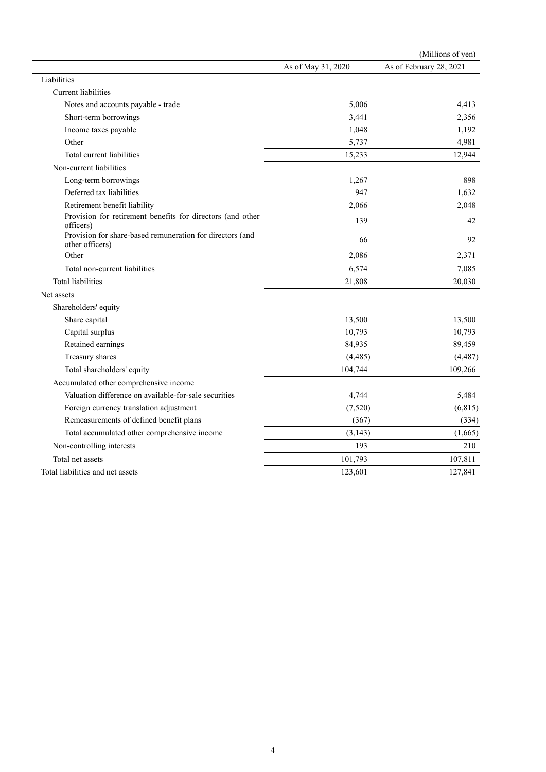|                                                                              |                    | (Millions of yen)       |
|------------------------------------------------------------------------------|--------------------|-------------------------|
|                                                                              | As of May 31, 2020 | As of February 28, 2021 |
| Liabilities                                                                  |                    |                         |
| <b>Current</b> liabilities                                                   |                    |                         |
| Notes and accounts payable - trade                                           | 5,006              | 4,413                   |
| Short-term borrowings                                                        | 3,441              | 2,356                   |
| Income taxes payable                                                         | 1,048              | 1,192                   |
| Other                                                                        | 5,737              | 4,981                   |
| Total current liabilities                                                    | 15,233             | 12,944                  |
| Non-current liabilities                                                      |                    |                         |
| Long-term borrowings                                                         | 1,267              | 898                     |
| Deferred tax liabilities                                                     | 947                | 1,632                   |
| Retirement benefit liability                                                 | 2,066              | 2,048                   |
| Provision for retirement benefits for directors (and other<br>officers)      | 139                | 42                      |
| Provision for share-based remuneration for directors (and<br>other officers) | 66                 | 92                      |
| Other                                                                        | 2,086              | 2,371                   |
| Total non-current liabilities                                                | 6,574              | 7,085                   |
| <b>Total liabilities</b>                                                     | 21,808             | 20,030                  |
| Net assets                                                                   |                    |                         |
| Shareholders' equity                                                         |                    |                         |
| Share capital                                                                | 13,500             | 13,500                  |
| Capital surplus                                                              | 10,793             | 10,793                  |
| Retained earnings                                                            | 84,935             | 89,459                  |
| Treasury shares                                                              | (4, 485)           | (4, 487)                |
| Total shareholders' equity                                                   | 104,744            | 109,266                 |
| Accumulated other comprehensive income                                       |                    |                         |
| Valuation difference on available-for-sale securities                        | 4,744              | 5,484                   |
| Foreign currency translation adjustment                                      | (7,520)            | (6, 815)                |
| Remeasurements of defined benefit plans                                      | (367)              | (334)                   |
| Total accumulated other comprehensive income                                 | (3, 143)           | (1,665)                 |
| Non-controlling interests                                                    | 193                | 210                     |
| Total net assets                                                             | 101,793            | 107,811                 |
| Total liabilities and net assets                                             | 123,601            | 127,841                 |
|                                                                              |                    |                         |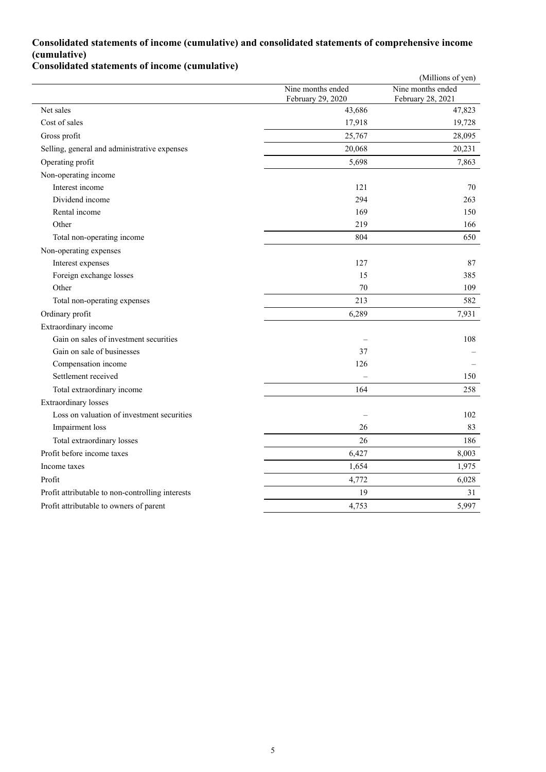### **Consolidated statements of income (cumulative) and consolidated statements of comprehensive income (cumulative)**

**Consolidated statements of income (cumulative)**

|                                                  |                                        | (Millions of yen)                      |
|--------------------------------------------------|----------------------------------------|----------------------------------------|
|                                                  | Nine months ended<br>February 29, 2020 | Nine months ended<br>February 28, 2021 |
| Net sales                                        | 43,686                                 | 47,823                                 |
| Cost of sales                                    | 17,918                                 | 19,728                                 |
| Gross profit                                     | 25,767                                 | 28,095                                 |
| Selling, general and administrative expenses     | 20,068                                 | 20,231                                 |
| Operating profit                                 | 5,698                                  | 7,863                                  |
| Non-operating income                             |                                        |                                        |
| Interest income                                  | 121                                    | 70                                     |
| Dividend income                                  | 294                                    | 263                                    |
| Rental income                                    | 169                                    | 150                                    |
| Other                                            | 219                                    | 166                                    |
| Total non-operating income                       | 804                                    | 650                                    |
| Non-operating expenses                           |                                        |                                        |
| Interest expenses                                | 127                                    | 87                                     |
| Foreign exchange losses                          | 15                                     | 385                                    |
| Other                                            | 70                                     | 109                                    |
| Total non-operating expenses                     | 213                                    | 582                                    |
| Ordinary profit                                  | 6,289                                  | 7,931                                  |
| Extraordinary income                             |                                        |                                        |
| Gain on sales of investment securities           |                                        | 108                                    |
| Gain on sale of businesses                       | 37                                     |                                        |
| Compensation income                              | 126                                    |                                        |
| Settlement received                              |                                        | 150                                    |
| Total extraordinary income                       | 164                                    | 258                                    |
| Extraordinary losses                             |                                        |                                        |
| Loss on valuation of investment securities       | $\overline{\phantom{0}}$               | 102                                    |
| Impairment loss                                  | 26                                     | 83                                     |
| Total extraordinary losses                       | 26                                     | 186                                    |
| Profit before income taxes                       | 6,427                                  | 8,003                                  |
| Income taxes                                     | 1,654                                  | 1,975                                  |
| Profit                                           | 4,772                                  | 6,028                                  |
| Profit attributable to non-controlling interests | 19                                     | 31                                     |
| Profit attributable to owners of parent          | 4,753                                  | 5,997                                  |